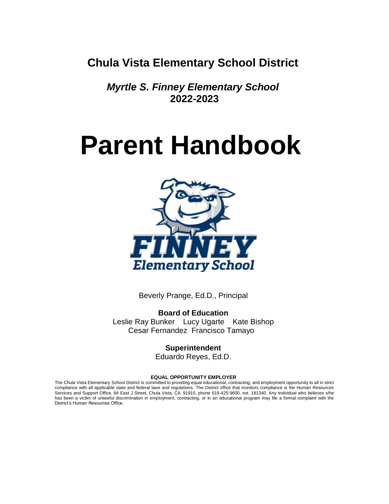**Chula Vista Elementary School District**

*Myrtle S. Finney Elementary School* **2022-2023**

# **Parent Handbook**



Beverly Prange, Ed.D., Principal

**Board of Education** Leslie Ray Bunker Lucy Ugarte Kate Bishop Cesar Fernandez Francisco Tamayo

> **Superintendent** Eduardo Reyes, Ed.D.

#### **EQUAL OPPORTUNITY EMPLOYER**

The Chula Vista Elementary School District is committed to providing equal educational, contracting, and employment opportunity to all in strict compliance with all applicable state and federal laws and regulations. The District office that monitors compliance is the Human Resources Services and Support Office, 84 East J Street, Chula Vista, CA 91910, phone 619-425-9600, ext. 181340. Any individual who believes s/he has been a victim of unlawful discrimination in employment, contracting, or in an educational program may file a formal complaint with the District's Human Resources Office.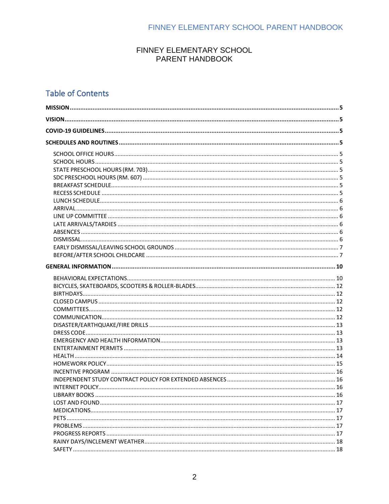#### FINNEY ELEMENTARY SCHOOL PARENT HANDBOOK

# **Table of Contents**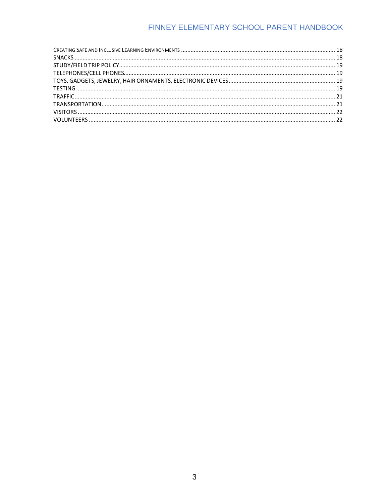# FINNEY ELEMENTARY SCHOOL PARENT HANDBOOK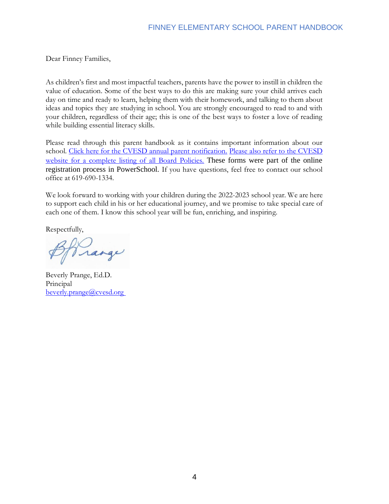Dear Finney Families,

As children's first and most impactful teachers, parents have the power to instill in children the value of education. Some of the best ways to do this are making sure your child arrives each day on time and ready to learn, helping them with their homework, and talking to them about ideas and topics they are studying in school. You are strongly encouraged to read to and with your children, regardless of their age; this is one of the best ways to foster a love of reading while building essential literacy skills.

Please read through this parent handbook as it contains important information about our school. [Click here for the CVESD annual](https://chulavista.ss12.sharpschool.com/cms/One.aspx?portalId=412034&pageId=934725) parent notification. [Please also refer to the CVESD](http://www.cvesd.org/board_of_education/board_policies_and_bylaws)  [website for a complete listing of all Board Policies.](http://www.cvesd.org/board_of_education/board_policies_and_bylaws) These forms were part of the online registration process in PowerSchool. If you have questions, feel free to contact our school office at 619-690-1334.

We look forward to working with your children during the 2022-2023 school year. We are here to support each child in his or her educational journey, and we promise to take special care of each one of them. I know this school year will be fun, enriching, and inspiring.

Respectfully,

range

Beverly Prange, Ed.D. Principal [beverly.prange@cvesd.org](mailto:beverly.prange@cvesd.org)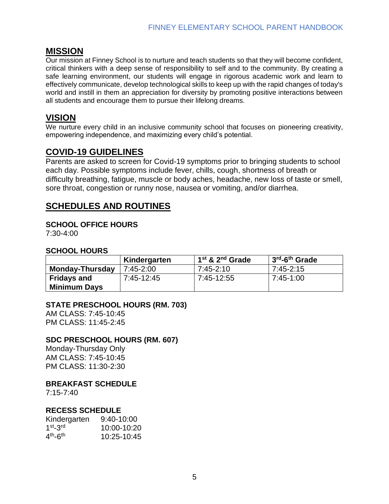## <span id="page-4-0"></span>**MISSION**

Our mission at Finney School is to nurture and teach students so that they will become confident, critical thinkers with a deep sense of responsibility to self and to the community. By creating a safe learning environment, our students will engage in rigorous academic work and learn to effectively communicate, develop technological skills to keep up with the rapid changes of today's world and instill in them an appreciation for diversity by promoting positive interactions between all students and encourage them to pursue their lifelong dreams.

# <span id="page-4-1"></span>**VISION**

We nurture every child in an inclusive community school that focuses on pioneering creativity, empowering independence, and maximizing every child's potential.

# <span id="page-4-2"></span>**COVID-19 GUIDELINES**

Parents are asked to screen for Covid-19 symptoms prior to bringing students to school each day. Possible symptoms include fever, chills, cough, shortness of breath or difficulty breathing, fatigue, muscle or body aches, headache, new loss of taste or smell, sore throat, congestion or runny nose, nausea or vomiting, and/or diarrhea.

# <span id="page-4-3"></span>**SCHEDULES AND ROUTINES**

#### <span id="page-4-4"></span>**SCHOOL OFFICE HOURS**

7:30-4:00

#### <span id="page-4-5"></span>**SCHOOL HOURS**

|                        | Kindergarten  | $1st$ & $2nd$ Grade | 13 <sup>rd</sup> -6 <sup>th</sup> Grade |
|------------------------|---------------|---------------------|-----------------------------------------|
| <b>Monday-Thursday</b> | $7:45 - 2:00$ | 7:45-2:10           | 7:45-2:15                               |
| <b>Fridays and</b>     | 7:45-12:45    | 7:45-12:55          | 7:45-1:00                               |
| <b>Minimum Days</b>    |               |                     |                                         |

#### <span id="page-4-6"></span>**STATE PRESCHOOL HOURS (RM. 703)**

AM CLASS: 7:45-10:45 PM CLASS: 11:45-2:45

#### <span id="page-4-7"></span>**SDC PRESCHOOL HOURS (RM. 607)**

Monday-Thursday Only AM CLASS: 7:45-10:45 PM CLASS: 11:30-2:30

#### <span id="page-4-8"></span>**BREAKFAST SCHEDULE**

7:15-7:40

#### <span id="page-4-9"></span>**RECESS SCHEDULE**

| Kindergarten           | $9:40-10:00$ |
|------------------------|--------------|
| $1st - 3rd$            | 10:00-10:20  |
| $4th$ -6 <sup>th</sup> | 10:25-10:45  |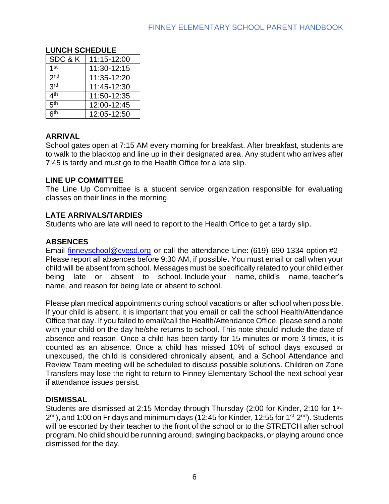#### <span id="page-5-0"></span>**LUNCH SCHEDULE** SDC & K | 11:15-12:00  $1<sup>st</sup>$  $11:30-12:15$  $2nd$ 11:35-12:20  $2rd$  $11:45-12:30$  $4<sup>th</sup>$ th 11:50-12:35  $5<sup>th</sup>$  $12:00-12:45$  $6<sup>th</sup>$ th 12:05-12:50

#### <span id="page-5-1"></span>**ARRIVAL**

School gates open at 7:15 AM every morning for breakfast. After breakfast, students are to walk to the blacktop and line up in their designated area. Any student who arrives after 7:45 is tardy and must go to the Health Office for a late slip.

#### <span id="page-5-2"></span>**LINE UP COMMITTEE**

The Line Up Committee is a student service organization responsible for evaluating classes on their lines in the morning.

#### <span id="page-5-3"></span>**LATE ARRIVALS/TARDIES**

Students who are late will need to report to the Health Office to get a tardy slip.

#### <span id="page-5-4"></span>**ABSENCES**

Email [finneyschool@cvesd.org](mailto:finneyschool@cvesd.org) or call the attendance Line: (619) 690-1334 option #2 - Please report all absences before 9:30 AM, if possible**.** You must email or call when your child will be absent from school. Messages must be specifically related to your child either being late or absent to school. Include your name, child's name, teacher's name, and reason for being late or absent to school.

Please plan medical appointments during school vacations or after school when possible. If your child is absent, it is important that you email or call the school Health/Attendance Office that day. If you failed to email/call the Health/Attendance Office, please send a note with your child on the day he/she returns to school. This note should include the date of absence and reason. Once a child has been tardy for 15 minutes or more 3 times, it is counted as an absence. Once a child has missed 10% of school days excused or unexcused, the child is considered chronically absent, and a School Attendance and Review Team meeting will be scheduled to discuss possible solutions. Children on Zone Transfers may lose the right to return to Finney Elementary School the next school year if attendance issues persist.

#### <span id="page-5-5"></span>**DISMISSAL**

Students are dismissed at 2:15 Monday through Thursday (2:00 for Kinder, 2:10 for 1<sup>st</sup>-2<sup>nd</sup>), and 1:00 on Fridays and minimum days (12:45 for Kinder, 12:55 for 1<sup>st</sup>-2<sup>nd</sup>). Students will be escorted by their teacher to the front of the school or to the STRETCH after school program. No child should be running around, swinging backpacks, or playing around once dismissed for the day.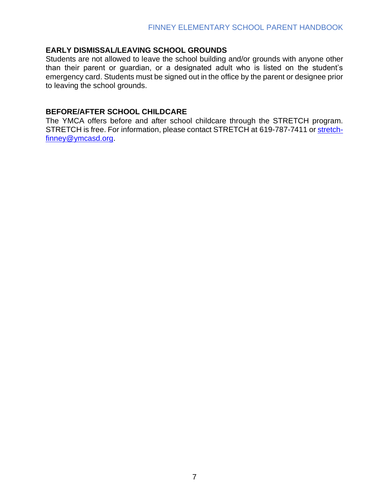#### <span id="page-6-0"></span>**EARLY DISMISSAL/LEAVING SCHOOL GROUNDS**

Students are not allowed to leave the school building and/or grounds with anyone other than their parent or guardian, or a designated adult who is listed on the student's emergency card. Students must be signed out in the office by the parent or designee prior to leaving the school grounds.

#### <span id="page-6-1"></span>**BEFORE/AFTER SCHOOL CHILDCARE**

The YMCA offers before and after school childcare through the STRETCH program. STRETCH is free. For information, please contact STRETCH at 619-787-7411 or [stretch](mailto:stretch-finney@ymcasd.org)[finney@ymcasd.org.](mailto:stretch-finney@ymcasd.org)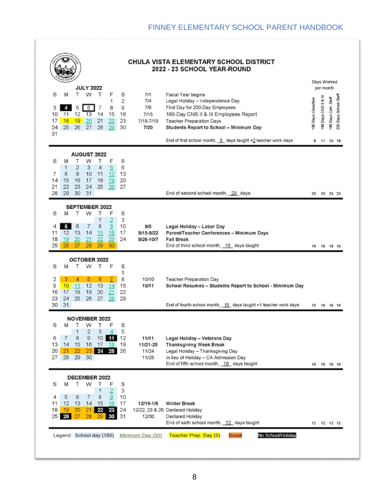|                                                                   |                                                                                                                           |                                                                             |                                |                                                | <b>CHULA VISTA ELEMENTARY SCHOOL DISTRICT</b><br>2022 - 23 SCHOOL YEAR-ROUND                                                                                                                                                                                                                 |                         |                                   |                            |                          |
|-------------------------------------------------------------------|---------------------------------------------------------------------------------------------------------------------------|-----------------------------------------------------------------------------|--------------------------------|------------------------------------------------|----------------------------------------------------------------------------------------------------------------------------------------------------------------------------------------------------------------------------------------------------------------------------------------------|-------------------------|-----------------------------------|----------------------------|--------------------------|
|                                                                   | <b>JULY 2022</b>                                                                                                          |                                                                             |                                |                                                |                                                                                                                                                                                                                                                                                              |                         | Days Worked<br>per month          |                            |                          |
| S<br>M<br>3<br>4<br>10<br>11<br>17<br>18<br>25<br>24<br>31        | т<br>W<br>5<br>6<br>12<br>13<br>20<br>19<br>26<br>27                                                                      | Т<br>F<br>1<br>8<br>7<br>15<br>14<br>21<br>22<br>28<br>29                   | S<br>2<br>9<br>16<br>23<br>30  | 7/1<br>7/4<br>7/6<br>7/15<br>7/18-7/19<br>7/20 | <b>Fiscal Year begins</b><br>Legal Holiday - Independence Day<br>First Day for 200-Day Employees<br>186-Day CNS II & III Employees Report<br><b>Teacher Preparation Days</b><br>Students Report to School - Minimum Day<br>End of first school month, $8$ days taught $+2$ teacher work days | 80 Days Classified<br>8 | 186 Days CNS II & III<br>11 10 18 | Staff<br>Days Cert.<br>185 | Days School Staff<br>200 |
| S<br>M<br>1<br>8<br>7<br>14<br>15<br>21<br>22<br>29<br>28         | <b>AUGUST 2022</b><br>т<br>W<br>$\overline{\mathbf{c}}$<br>3<br>$\overline{9}$<br>10<br>17<br>16<br>24<br>23<br>30<br>31  | F<br>т<br>$\overline{5}$<br>4<br>11<br>12<br>19<br>18<br>25<br>26           | S<br>6<br>13<br>20<br>27       |                                                | End of second school month, 23 days                                                                                                                                                                                                                                                          |                         | 23 23 23 23                       |                            |                          |
| S<br>M                                                            | <b>SEPTEMBER 2022</b><br>W<br>т                                                                                           | Т<br>F                                                                      | S                              |                                                |                                                                                                                                                                                                                                                                                              |                         |                                   |                            |                          |
| 5<br>4<br>12<br>11<br>18<br>19<br>25<br>26                        | 7<br>6<br>13<br>14<br>20<br>21<br>27<br>28                                                                                | $\overline{2}$<br>1<br>8<br>9<br>15<br>16<br>23<br>22<br>29<br>30           | 3<br>10<br>17<br>24            | 9/5<br>9/15-9/22<br>9/26-10/7                  | Legal Holiday - Labor Day<br>Parent/Teacher Conferences - Minimum Days<br><b>Fall Break</b><br>End of third school month, 16 days taught                                                                                                                                                     |                         | 16  16  16  16                    |                            |                          |
| S<br>M                                                            | <b>OCTOBER 2022</b>                                                                                                       |                                                                             |                                |                                                |                                                                                                                                                                                                                                                                                              |                         |                                   |                            |                          |
|                                                                   |                                                                                                                           |                                                                             |                                |                                                |                                                                                                                                                                                                                                                                                              |                         |                                   |                            |                          |
| 3<br>2<br>9<br>10<br>17<br>16<br>23<br>24                         | Τ<br>W<br>5<br>4<br>12<br>11<br>19<br>18<br>25<br>26                                                                      | F<br>Т<br>6<br>$\mathcal{I}$<br>13<br>14<br>21<br>20<br>27<br>28            | S<br>1<br>8<br>15<br>22<br>29  | 10/10<br>10/11                                 | <b>Teacher Preparation Day</b><br>School Resumes - Students Report to School - Minimum Day                                                                                                                                                                                                   |                         |                                   |                            |                          |
| 30<br>31                                                          |                                                                                                                           |                                                                             |                                |                                                | End of fourth school month, 15 days taught +1 teacher work days                                                                                                                                                                                                                              |                         | 15 16 16 16                       |                            |                          |
| S<br>M<br>$\overline{7}$<br>6<br>13<br>14<br>20<br>21<br>28<br>27 | <b>NOVEMBER 2022</b><br>т<br>W<br>1<br>$\overline{\mathbf{c}}$<br>$\overline{9}$<br>8<br>15<br>16<br>22<br>23<br>29<br>30 | т<br>F<br>3<br>10<br>11<br>17<br>18<br>24<br>25                             | S<br>5<br>12<br>19<br>26       | 11/11<br>11/21-25<br>11/24<br>11/25            | <b>Legal Holiday - Veterans Day</b><br><b>Thanksgiving Week Break</b><br>Legal Holiday - Thanksgiving Day<br>In lieu of Holiday - CA Admission Day<br>End of fifth school month, 16 days taught                                                                                              | 16                      | 16 16 16                          |                            |                          |
|                                                                   | DECEMBER 2022                                                                                                             |                                                                             |                                |                                                |                                                                                                                                                                                                                                                                                              |                         |                                   |                            |                          |
| S<br>M<br>5<br>4<br>12<br>11<br>19<br>18<br>25<br>26              | W<br>т<br>7<br>6<br>14<br>13<br>20<br>21<br>27<br>28                                                                      | Т<br>F<br>1<br>$\overline{2}$<br>8<br>9<br>15<br>16<br>22<br>23<br>30<br>29 | S<br>3<br>10<br>17<br>24<br>31 | 12/19-1/6<br>12/30                             | <b>Winter Break</b><br>12/22, 23 & 26 Declared Holiday<br>Declared Holiday<br>End of sixth school month, 12 days taught                                                                                                                                                                      |                         | 12  12  12  12                    |                            |                          |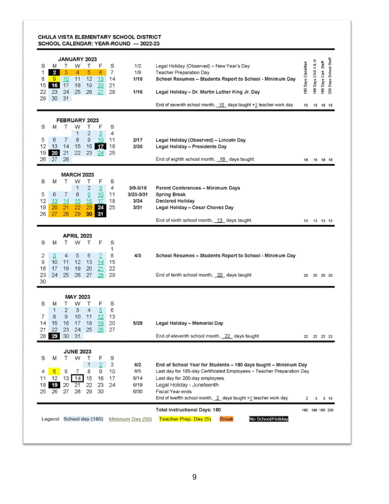#### CHULA VISTA ELEMENTARY SCHOOL DISTRICT SCHOOL CALENDAR: YEAR-ROUND - 2022-23

| <b>JANUARY 2023</b><br>т<br>F<br>S<br>Т<br>W<br>M<br>$\overline{2}$<br>1<br>3<br>5<br>4<br>6<br>10<br>11<br>12<br>8<br>$9^{\circ}$<br>13<br>16<br>17<br>18<br>19<br>15<br>20<br>22<br>23<br>24<br>25<br>26<br>27<br>29<br>30<br>31   | S<br>1/2<br>7<br>1/9<br>1/10<br>14<br>21<br>28<br>1/16                | Legal Holiday (Observed) - New Year's Day<br><b>Teacher Preparation Day</b><br>School Resumes - Students Report to School - Minimum Day<br>Legal Holiday - Dr. Martin Luther King Jr. Day<br>End of seventh school month, $15$ days taught +1 teacher work day                                        |                 |                | Days Cert. Staff<br>86<br>16 16 | Days School Staff<br>200 |
|--------------------------------------------------------------------------------------------------------------------------------------------------------------------------------------------------------------------------------------|-----------------------------------------------------------------------|-------------------------------------------------------------------------------------------------------------------------------------------------------------------------------------------------------------------------------------------------------------------------------------------------------|-----------------|----------------|---------------------------------|--------------------------|
| <b>FEBRUARY 2023</b><br>Т<br>S<br>W<br>Τ<br>F<br>M<br>2<br>1<br>3<br>8<br>9<br>10<br>5<br>6<br>7<br>16<br>17<br>12<br>13<br>14<br>15<br>22<br>19<br>20<br>21<br>23<br>24<br>27<br>28<br>26                                           | S<br>4<br>11<br>2/17<br>18<br>2/20<br>25                              | Legal Holiday (Observed) - Lincoln Day<br><b>Legal Holiday - Presidents Day</b><br>End of eighth school month, 18 days taught                                                                                                                                                                         |                 | 18  18  18  18 |                                 |                          |
| <b>MARCH 2023</b><br>S<br>W<br>F<br>M<br>Т<br>т<br>1<br>$\overline{\mathbf{c}}$<br>3<br>6<br>7<br>8<br>9<br>5<br>10<br>12<br>15<br>16<br>17<br>13<br>14<br>19<br>21<br>22<br>20<br>23<br>24<br>29<br>30<br>27<br>28<br>26<br>31      | S<br>4<br>$3/9 - 3/16$<br>11<br>3/20-3/31<br>18<br>3/24<br>3/31<br>25 | Parent Conferences - Minimum Days<br><b>Spring Break</b><br><b>Declared Holiday</b><br>Legal Holiday - Cesar Chavez Day<br>End of ninth school month, 13 days taught                                                                                                                                  |                 | 13  13  13  13 |                                 |                          |
| <b>APRIL 2023</b><br>F<br>S<br>т<br>W<br>M<br>т<br>2<br>$\mathbf{3}$<br>5<br>6<br>4<br>7<br>9<br>11<br>12<br>13<br>10<br>14<br>19<br>20<br>16<br>17<br>18<br>21<br>23<br>27<br>24<br>25<br>26<br>28<br>30                            | S<br>1<br>8<br>4/3<br>15<br>22<br>29                                  | School Resumes - Students Report to School - Minimum Day<br>End of tenth school month, 20 days taught                                                                                                                                                                                                 | 20              |                | 20 20 20                        |                          |
| <b>MAY 2023</b><br>S<br>W<br>Т<br>F<br>Τ<br>M<br>$\overline{\mathbf{c}}$<br>3<br>$\overline{5}$<br>1<br>4<br>7<br>8<br>9<br>10<br>11<br>12<br>15<br>16<br>17<br>18<br>19<br>14<br>22<br>23<br>24<br>25<br>21<br>26<br>28 28 30<br>31 | S<br>6<br>13<br>20<br>5/29<br>27                                      | Legal Holiday - Memorial Day<br>End of eleventh school month, 22 days taught                                                                                                                                                                                                                          | 22              |                | 22 22 22                        |                          |
| <b>JUNE 2023</b><br>т<br>W<br>F<br>S<br>M<br>т<br>1<br>2<br>8<br>5<br>6<br>7<br>9<br>4<br>15<br>12<br>13<br>14<br>16<br>11<br>19<br>21<br>22<br>23<br>18<br>20<br>27<br>28<br>29<br>30<br>25<br>26                                   | S<br>3<br>6/2<br>6/5<br>10<br>6/14<br>17<br>24<br>6/19<br>6/30        | End of School Year for Students - 180 days taught - Minimum Day<br>Last day for 185-day Certificated Employees - Teacher Preparation Day<br>Last day for 200-day employees<br>Legal Holiday - Juneteenth<br><b>Fiscal Year ends</b><br>End of twelfth school month, 2 days taught +1 teacher work day | 2               |                | $3 \t3 \t10$                    |                          |
| Legend: School day (180)                                                                                                                                                                                                             | Minimum Day (50)                                                      | <b>Total Instructional Days: 180</b><br><b>Teacher Prep. Day (5)</b><br>No School/Holiday<br><b>Break</b>                                                                                                                                                                                             | 180 186 185 200 |                |                                 |                          |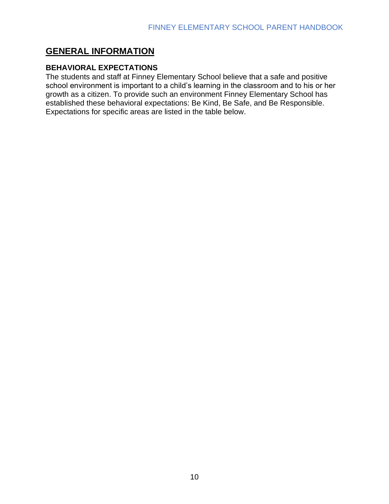# <span id="page-9-0"></span>**GENERAL INFORMATION**

#### <span id="page-9-1"></span>**BEHAVIORAL EXPECTATIONS**

The students and staff at Finney Elementary School believe that a safe and positive school environment is important to a child's learning in the classroom and to his or her growth as a citizen. To provide such an environment Finney Elementary School has established these behavioral expectations: Be Kind, Be Safe, and Be Responsible. Expectations for specific areas are listed in the table below.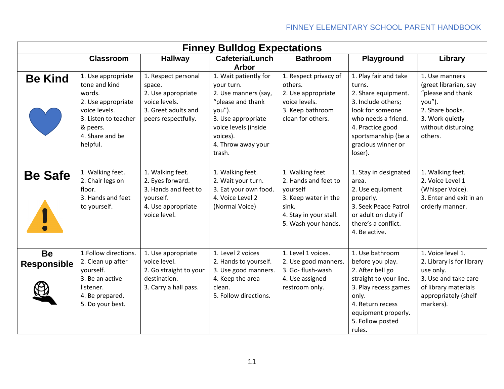| <b>Finney Bulldog Expectations</b> |                                                                                                                                                         |                                                                                                                    |                                                                                                                                                                                                      |                                                                                                                                       |                                                                                                                                                                                                     |                                                                                                                                                  |  |  |  |
|------------------------------------|---------------------------------------------------------------------------------------------------------------------------------------------------------|--------------------------------------------------------------------------------------------------------------------|------------------------------------------------------------------------------------------------------------------------------------------------------------------------------------------------------|---------------------------------------------------------------------------------------------------------------------------------------|-----------------------------------------------------------------------------------------------------------------------------------------------------------------------------------------------------|--------------------------------------------------------------------------------------------------------------------------------------------------|--|--|--|
|                                    | <b>Classroom</b>                                                                                                                                        | <b>Hallway</b>                                                                                                     | Cafeteria/Lunch                                                                                                                                                                                      | <b>Bathroom</b>                                                                                                                       | Playground                                                                                                                                                                                          | Library                                                                                                                                          |  |  |  |
| <b>Be Kind</b>                     | 1. Use appropriate<br>tone and kind<br>words.<br>2. Use appropriate<br>voice levels.<br>3. Listen to teacher<br>& peers.<br>4. Share and be<br>helpful. | 1. Respect personal<br>space.<br>2. Use appropriate<br>voice levels.<br>3. Greet adults and<br>peers respectfully. | <b>Arbor</b><br>1. Wait patiently for<br>your turn.<br>2. Use manners (say,<br>"please and thank<br>you").<br>3. Use appropriate<br>voice levels (inside<br>voices).<br>4. Throw away your<br>trash. | 1. Respect privacy of<br>others.<br>2. Use appropriate<br>voice levels.<br>3. Keep bathroom<br>clean for others.                      | 1. Play fair and take<br>turns.<br>2. Share equipment.<br>3. Include others;<br>look for someone<br>who needs a friend.<br>4. Practice good<br>sportsmanship (be a<br>gracious winner or<br>loser). | 1. Use manners<br>(greet librarian, say<br>"please and thank<br>you").<br>2. Share books.<br>3. Work quietly<br>without disturbing<br>others.    |  |  |  |
| <b>Be Safe</b><br>U                | 1. Walking feet.<br>2. Chair legs on<br>floor.<br>3. Hands and feet<br>to yourself.                                                                     | 1. Walking feet.<br>2. Eyes forward.<br>3. Hands and feet to<br>yourself.<br>4. Use appropriate<br>voice level.    | 1. Walking feet.<br>2. Wait your turn.<br>3. Eat your own food.<br>4. Voice Level 2<br>(Normal Voice)                                                                                                | 1. Walking feet<br>2. Hands and feet to<br>vourself<br>3. Keep water in the<br>sink.<br>4. Stay in your stall.<br>5. Wash your hands. | 1. Stay in designated<br>area.<br>2. Use equipment<br>properly.<br>3. Seek Peace Patrol<br>or adult on duty if<br>there's a conflict.<br>4. Be active.                                              | 1. Walking feet.<br>2. Voice Level 1<br>(Whisper Voice).<br>3. Enter and exit in an<br>orderly manner.                                           |  |  |  |
| <b>Be</b><br><b>Responsible</b>    | 1.Follow directions.<br>2. Clean up after<br>yourself.<br>3. Be an active<br>listener.<br>4. Be prepared.<br>5. Do your best.                           | 1. Use appropriate<br>voice level.<br>2. Go straight to your<br>destination.<br>3. Carry a hall pass.              | 1. Level 2 voices<br>2. Hands to yourself.<br>3. Use good manners.<br>4. Keep the area<br>clean.<br>5. Follow directions.                                                                            | 1. Level 1 voices.<br>2. Use good manners.<br>3. Go- flush-wash<br>4. Use assigned<br>restroom only.                                  | 1. Use bathroom<br>before you play.<br>2. After bell go<br>straight to your line.<br>3. Play recess games<br>only.<br>4. Return recess<br>equipment properly.<br>5. Follow posted<br>rules.         | 1. Voice level 1.<br>2. Library is for library<br>use only.<br>3. Use and take care<br>of library materials<br>appropriately (shelf<br>markers). |  |  |  |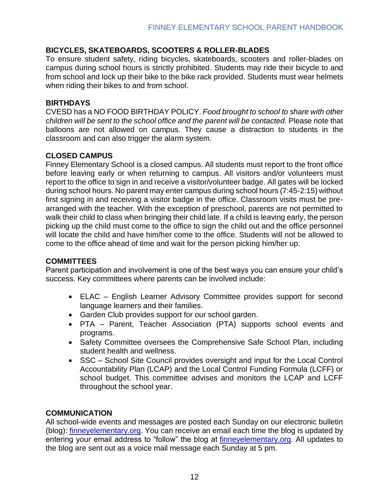#### <span id="page-11-0"></span>**BICYCLES, SKATEBOARDS, SCOOTERS & ROLLER-BLADES**

To ensure student safety, riding bicycles, skateboards, scooters and roller-blades on campus during school hours is strictly prohibited. Students may ride their bicycle to and from school and lock up their bike to the bike rack provided. Students must wear helmets when riding their bikes to and from school.

#### <span id="page-11-1"></span>**BIRTHDAYS**

CVESD has a NO FOOD BIRTHDAY POLICY. *Food brought to school to share with other children will be sent to the school office and the parent will be contacted.* Please note that balloons are not allowed on campus. They cause a distraction to students in the classroom and can also trigger the alarm system.

#### <span id="page-11-2"></span>**CLOSED CAMPUS**

Finney Elementary School is a closed campus. All students must report to the front office before leaving early or when returning to campus. All visitors and/or volunteers must report to the office to sign in and receive a visitor/volunteer badge. All gates will be locked during school hours. No parent may enter campus during school hours (7:45-2:15) without first signing in and receiving a visitor badge in the office. Classroom visits must be prearranged with the teacher. With the exception of preschool, parents are not permitted to walk their child to class when bringing their child late. If a child is leaving early, the person picking up the child must come to the office to sign the child out and the office personnel will locate the child and have him/her come to the office. Students will not be allowed to come to the office ahead of time and wait for the person picking him/her up.

#### <span id="page-11-3"></span>**COMMITTEES**

Parent participation and involvement is one of the best ways you can ensure your child's success. Key committees where parents can be involved include:

- ELAC English Learner Advisory Committee provides support for second language learners and their families.
- Garden Club provides support for our school garden.
- PTA Parent, Teacher Association (PTA) supports school events and programs.
- Safety Committee oversees the Comprehensive Safe School Plan, including student health and wellness.
- SSC School Site Council provides oversight and input for the Local Control Accountability Plan (LCAP) and the Local Control Funding Formula (LCFF) or school budget. This committee advises and monitors the LCAP and LCFF throughout the school year.

#### <span id="page-11-4"></span>**COMMUNICATION**

All school-wide events and messages are posted each Sunday on our electronic bulletin (blog): [finneyelementary.org.](http://finneyelementary.org/) You can receive an email each time the blog is updated by entering your email address to "follow" the blog at [finneyelementary.org.](http://finneyelementary.org/) All updates to the blog are sent out as a voice mail message each Sunday at 5 pm.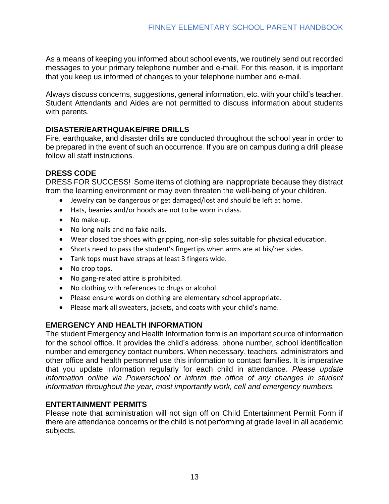As a means of keeping you informed about school events, we routinely send out recorded messages to your primary telephone number and e-mail. For this reason, it is important that you keep us informed of changes to your telephone number and e-mail.

Always discuss concerns, suggestions, general information, etc. with your child's teacher. Student Attendants and Aides are not permitted to discuss information about students with parents.

#### <span id="page-12-0"></span>**DISASTER/EARTHQUAKE/FIRE DRILLS**

Fire, earthquake, and disaster drills are conducted throughout the school year in order to be prepared in the event of such an occurrence. If you are on campus during a drill please follow all staff instructions.

#### <span id="page-12-1"></span>**DRESS CODE**

DRESS FOR SUCCESS! Some items of clothing are inappropriate because they distract from the learning environment or may even threaten the well-being of your children.

- Jewelry can be dangerous or get damaged/lost and should be left at home.
- Hats, beanies and/or hoods are not to be worn in class.
- No make-up.
- No long nails and no fake nails.
- Wear closed toe shoes with gripping, non-slip soles suitable for physical education.
- Shorts need to pass the student's fingertips when arms are at his/her sides.
- Tank tops must have straps at least 3 fingers wide.
- No crop tops.
- No gang-related attire is prohibited.
- No clothing with references to drugs or alcohol.
- Please ensure words on clothing are elementary school appropriate.
- Please mark all sweaters, jackets, and coats with your child's name.

#### <span id="page-12-2"></span>**EMERGENCY AND HEALTH INFORMATION**

The student Emergency and Health Information form is an important source of information for the school office. It provides the child's address, phone number, school identification number and emergency contact numbers. When necessary, teachers, administrators and other office and health personnel use this information to contact families. It is imperative that you update information regularly for each child in attendance. *Please update information online via Powerschool or inform the office of any changes in student information throughout the year, most importantly work, cell and emergency numbers.*

#### <span id="page-12-3"></span>**ENTERTAINMENT PERMITS**

Please note that administration will not sign off on Child Entertainment Permit Form if there are attendance concerns or the child is not performing at grade level in all academic subjects.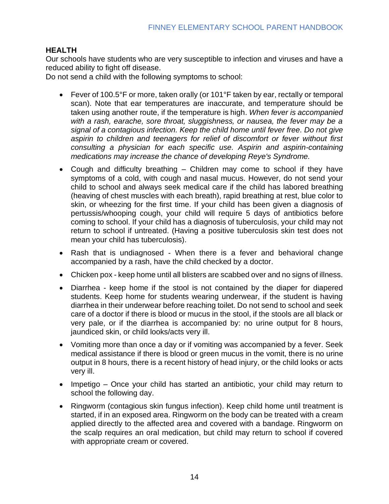#### <span id="page-13-0"></span>**HEALTH**

Our schools have students who are very susceptible to infection and viruses and have a reduced ability to fight off disease.

Do not send a child with the following symptoms to school:

- Fever of 100.5°F or more, taken orally (or 101°F taken by ear, rectally or temporal scan). Note that ear temperatures are inaccurate, and temperature should be taken using another route, if the temperature is high. *When fever is accompanied with a rash, earache, sore throat, sluggishness, or nausea, the fever may be a signal of a contagious infection. Keep the child home until fever free. Do not give aspirin to children and teenagers for relief of discomfort or fever without first consulting a physician for each specific use. Aspirin and aspirin-containing medications may increase the chance of developing Reye's Syndrome.*
- Cough and difficulty breathing Children may come to school if they have symptoms of a cold, with cough and nasal mucus. However, do not send your child to school and always seek medical care if the child has labored breathing (heaving of chest muscles with each breath), rapid breathing at rest, blue color to skin, or wheezing for the first time. If your child has been given a diagnosis of pertussis/whooping cough, your child will require 5 days of antibiotics before coming to school. If your child has a diagnosis of tuberculosis, your child may not return to school if untreated. (Having a positive tuberculosis skin test does not mean your child has tuberculosis).
- Rash that is undiagnosed When there is a fever and behavioral change accompanied by a rash, have the child checked by a doctor.
- Chicken pox keep home until all blisters are scabbed over and no signs of illness.
- Diarrhea keep home if the stool is not contained by the diaper for diapered students. Keep home for students wearing underwear, if the student is having diarrhea in their underwear before reaching toilet. Do not send to school and seek care of a doctor if there is blood or mucus in the stool, if the stools are all black or very pale, or if the diarrhea is accompanied by: no urine output for 8 hours, jaundiced skin, or child looks/acts very ill.
- Vomiting more than once a day or if vomiting was accompanied by a fever. Seek medical assistance if there is blood or green mucus in the vomit, there is no urine output in 8 hours, there is a recent history of head injury, or the child looks or acts very ill.
- Impetigo Once your child has started an antibiotic, your child may return to school the following day.
- Ringworm (contagious skin fungus infection). Keep child home until treatment is started, if in an exposed area. Ringworm on the body can be treated with a cream applied directly to the affected area and covered with a bandage. Ringworm on the scalp requires an oral medication, but child may return to school if covered with appropriate cream or covered.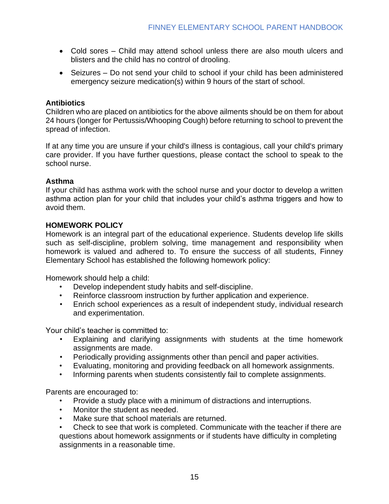- Cold sores Child may attend school unless there are also mouth ulcers and blisters and the child has no control of drooling.
- Seizures Do not send your child to school if your child has been administered emergency seizure medication(s) within 9 hours of the start of school.

#### **Antibiotics**

Children who are placed on antibiotics for the above ailments should be on them for about 24 hours (longer for Pertussis/Whooping Cough) before returning to school to prevent the spread of infection.

If at any time you are unsure if your child's illness is contagious, call your child's primary care provider. If you have further questions, please contact the school to speak to the school nurse.

#### **Asthma**

If your child has asthma work with the school nurse and your doctor to develop a written asthma action plan for your child that includes your child's asthma triggers and how to avoid them.

#### <span id="page-14-0"></span>**HOMEWORK POLICY**

Homework is an integral part of the educational experience. Students develop life skills such as self-discipline, problem solving, time management and responsibility when homework is valued and adhered to. To ensure the success of all students, Finney Elementary School has established the following homework policy:

Homework should help a child:

- Develop independent study habits and self-discipline.
- Reinforce classroom instruction by further application and experience.
- Enrich school experiences as a result of independent study, individual research and experimentation.

Your child's teacher is committed to:

- Explaining and clarifying assignments with students at the time homework assignments are made.
- Periodically providing assignments other than pencil and paper activities.
- Evaluating, monitoring and providing feedback on all homework assignments.
- Informing parents when students consistently fail to complete assignments.

Parents are encouraged to:

- Provide a study place with a minimum of distractions and interruptions.
- Monitor the student as needed.
- Make sure that school materials are returned.
- Check to see that work is completed. Communicate with the teacher if there are questions about homework assignments or if students have difficulty in completing assignments in a reasonable time.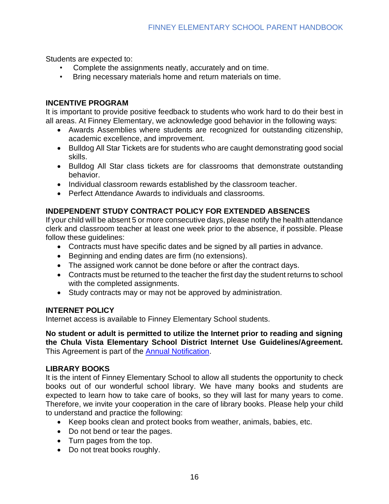Students are expected to:

- Complete the assignments neatly, accurately and on time.
- Bring necessary materials home and return materials on time.

#### <span id="page-15-0"></span>**INCENTIVE PROGRAM**

It is important to provide positive feedback to students who work hard to do their best in all areas. At Finney Elementary, we acknowledge good behavior in the following ways:

- Awards Assemblies where students are recognized for outstanding citizenship, academic excellence, and improvement.
- Bulldog All Star Tickets are for students who are caught demonstrating good social skills.
- Bulldog All Star class tickets are for classrooms that demonstrate outstanding behavior.
- Individual classroom rewards established by the classroom teacher.
- Perfect Attendance Awards to individuals and classrooms.

#### <span id="page-15-1"></span>**INDEPENDENT STUDY CONTRACT POLICY FOR EXTENDED ABSENCES**

If your child will be absent 5 or more consecutive days, please notify the health attendance clerk and classroom teacher at least one week prior to the absence, if possible. Please follow these guidelines:

- Contracts must have specific dates and be signed by all parties in advance.
- Beginning and ending dates are firm (no extensions).
- The assigned work cannot be done before or after the contract days.
- Contracts must be returned to the teacher the first day the student returns to school with the completed assignments.
- Study contracts may or may not be approved by administration.

#### <span id="page-15-2"></span>**INTERNET POLICY**

Internet access is available to Finney Elementary School students.

**No student or adult is permitted to utilize the Internet prior to reading and signing the Chula Vista Elementary School District Internet Use Guidelines/Agreement.** This Agreement is part of the [Annual Notification.](https://chulavista.ss12.sharpschool.com/cms/One.aspx?portalId=412034&pageId=934725)

#### <span id="page-15-3"></span>**LIBRARY BOOKS**

It is the intent of Finney Elementary School to allow all students the opportunity to check books out of our wonderful school library. We have many books and students are expected to learn how to take care of books, so they will last for many years to come. Therefore, we invite your cooperation in the care of library books. Please help your child to understand and practice the following:

- Keep books clean and protect books from weather, animals, babies, etc.
- Do not bend or tear the pages.
- Turn pages from the top.
- Do not treat books roughly.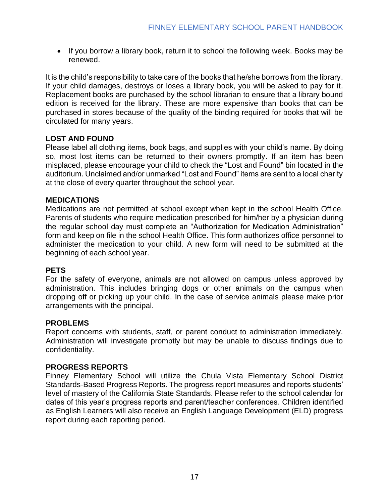• If you borrow a library book, return it to school the following week. Books may be renewed.

It is the child's responsibility to take care of the books that he/she borrows from the library. If your child damages, destroys or loses a library book, you will be asked to pay for it. Replacement books are purchased by the school librarian to ensure that a library bound edition is received for the library. These are more expensive than books that can be purchased in stores because of the quality of the binding required for books that will be circulated for many years.

#### <span id="page-16-0"></span>**LOST AND FOUND**

Please label all clothing items, book bags, and supplies with your child's name. By doing so, most lost items can be returned to their owners promptly. If an item has been misplaced, please encourage your child to check the "Lost and Found" bin located in the auditorium. Unclaimed and/or unmarked "Lost and Found" items are sent to a local charity at the close of every quarter throughout the school year.

#### <span id="page-16-1"></span>**MEDICATIONS**

Medications are not permitted at school except when kept in the school Health Office. Parents of students who require medication prescribed for him/her by a physician during the regular school day must complete an "Authorization for Medication Administration" form and keep on file in the school Health Office. This form authorizes office personnel to administer the medication to your child. A new form will need to be submitted at the beginning of each school year.

#### <span id="page-16-2"></span>**PETS**

For the safety of everyone, animals are not allowed on campus unless approved by administration. This includes bringing dogs or other animals on the campus when dropping off or picking up your child. In the case of service animals please make prior arrangements with the principal.

#### <span id="page-16-3"></span>**PROBLEMS**

Report concerns with students, staff, or parent conduct to administration immediately. Administration will investigate promptly but may be unable to discuss findings due to confidentiality.

#### <span id="page-16-4"></span>**PROGRESS REPORTS**

Finney Elementary School will utilize the Chula Vista Elementary School District Standards-Based Progress Reports. The progress report measures and reports students' level of mastery of the California State Standards. Please refer to the school calendar for dates of this year's progress reports and parent/teacher conferences. Children identified as English Learners will also receive an English Language Development (ELD) progress report during each reporting period.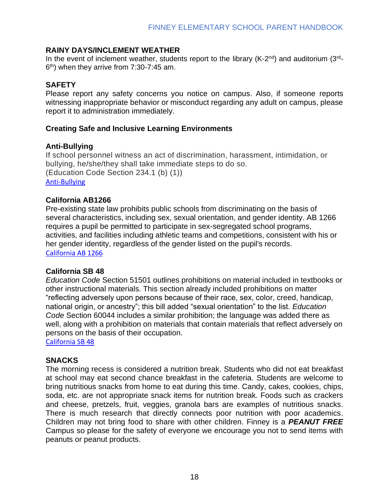#### <span id="page-17-0"></span>**RAINY DAYS/INCLEMENT WEATHER**

In the event of inclement weather, students report to the library (K-2<sup>nd</sup>) and auditorium (3<sup>rd</sup>- $6<sup>th</sup>$ ) when they arrive from 7:30-7:45 am.

#### <span id="page-17-1"></span>**SAFETY**

Please report any safety concerns you notice on campus. Also, if someone reports witnessing inappropriate behavior or misconduct regarding any adult on campus, please report it to administration immediately.

#### <span id="page-17-2"></span>**Creating Safe and Inclusive Learning Environments**

#### **Anti-Bullying**

If school personnel witness an act of discrimination, harassment, intimidation, or bullying, he/she/they shall take immediate steps to do so. (Education Code Section 234.1 (b) (1)) [Anti-Bullying](/Users/beverly.prange/Dropbox/Finney/Handbooks/Anti-Bullying)

#### **California AB1266**

Pre-existing state law prohibits public schools from discriminating on the basis of several characteristics, including sex, sexual orientation, and gender identity. AB 1266 requires a pupil be permitted to participate in sex-segregated school programs, activities, and facilities including athletic teams and competitions, consistent with his or her gender identity, regardless of the gender listed on the pupil's records. [Cali](https://www.cde.ca.gov/re/di/eo/faqs.asp)fornia AB 1266

#### **California SB 48**

*Education Code* Section 51501 outlines prohibitions on material included in textbooks or other instructional materials. This section already included prohibitions on matter "reflecting adversely upon persons because of their race, sex, color, creed, handicap, national origin, or ancestry"; this bill added "sexual orientation" to the list. *Education Code* Section 60044 includes a similar prohibition; the language was added there as well, along with a prohibition on materials that contain materials that reflect adversely on persons on the basis of their occupation.

[California](https://www.cde.ca.gov/ci/cr/cf/senatebill48faq.asp) SB 48

#### <span id="page-17-3"></span>**SNACKS**

The morning recess is considered a nutrition break. Students who did not eat breakfast at school may eat second chance breakfast in the cafeteria. Students are welcome to bring nutritious snacks from home to eat during this time. Candy, cakes, cookies, chips, soda, etc. are not appropriate snack items for nutrition break. Foods such as crackers and cheese, pretzels, fruit, veggies, granola bars are examples of nutritious snacks. There is much research that directly connects poor nutrition with poor academics. Children may not bring food to share with other children. Finney is a *PEANUT FREE* Campus so please for the safety of everyone we encourage you not to send items with peanuts or peanut products.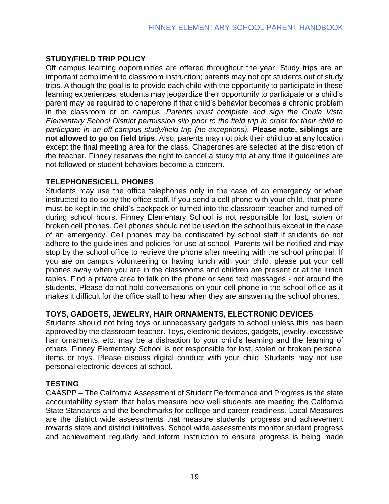#### <span id="page-18-0"></span>**STUDY/FIELD TRIP POLICY**

Off campus learning opportunities are offered throughout the year. Study trips are an important compliment to classroom instruction; parents may not opt students out of study trips. Although the goal is to provide each child with the opportunity to participate in these learning experiences, students may jeopardize their opportunity to participate or a child's parent may be required to chaperone if that child's behavior becomes a chronic problem in the classroom or on campus. *Parents must complete and sign the Chula Vista Elementary School District permission slip prior to the field trip in order for their child to participate in an off-campus study/field trip (no exceptions).* **Please note, siblings are not allowed to go on field trips**. Also, parents may not pick their child up at any location except the final meeting area for the class. Chaperones are selected at the discretion of the teacher. Finney reserves the right to cancel a study trip at any time if guidelines are not followed or student behaviors become a concern.

#### <span id="page-18-1"></span>**TELEPHONES/CELL PHONES**

Students may use the office telephones only in the case of an emergency or when instructed to do so by the office staff. If you send a cell phone with your child, that phone must be kept in the child's backpack or turned into the classroom teacher and turned off during school hours. Finney Elementary School is not responsible for lost, stolen or broken cell phones. Cell phones should not be used on the school bus except in the case of an emergency. Cell phones may be confiscated by school staff if students do not adhere to the guidelines and policies for use at school. Parents will be notified and may stop by the school office to retrieve the phone after meeting with the school principal. If you are on campus volunteering or having lunch with your child, please put your cell phones away when you are in the classrooms and children are present or at the lunch tables. Find a private area to talk on the phone or send text messages - not around the students. Please do not hold conversations on your cell phone in the school office as it makes it difficult for the office staff to hear when they are answering the school phones.

#### <span id="page-18-2"></span>**TOYS, GADGETS, JEWELRY, HAIR ORNAMENTS, ELECTRONIC DEVICES**

Students should not bring toys or unnecessary gadgets to school unless this has been approved by the classroom teacher. Toys, electronic devices, gadgets, jewelry, excessive hair ornaments, etc. may be a distraction to your child's learning and the learning of others. Finney Elementary School is not responsible for lost, stolen or broken personal items or toys. Please discuss digital conduct with your child. Students may not use personal electronic devices at school.

#### <span id="page-18-3"></span>**TESTING**

CAASPP – The California Assessment of Student Performance and Progress is the state accountability system that helps measure how well students are meeting the California State Standards and the benchmarks for college and career readiness. Local Measures are the district wide assessments that measure students' progress and achievement towards state and district initiatives. School wide assessments monitor student progress and achievement regularly and inform instruction to ensure progress is being made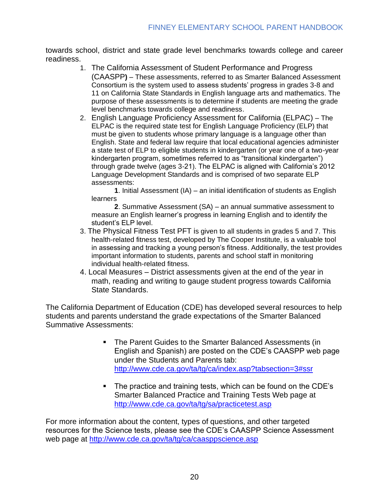towards school, district and state grade level benchmarks towards college and career readiness.

- 1. The California Assessment of Student Performance and Progress (CAASPP**)** – These assessments, referred to as Smarter Balanced Assessment Consortium is the system used to assess students' progress in grades 3-8 and 11 on California State Standards in English language arts and mathematics. The purpose of these assessments is to determine if students are meeting the grade level benchmarks towards college and readiness.
- 2. English Language Proficiency Assessment for California (ELPAC) The ELPAC is the required state test for English Language Proficiency (ELP) that must be given to students whose primary language is a language other than English. State and federal law require that local educational agencies administer a state test of ELP to eligible students in kindergarten (or year one of a two-year kindergarten program, sometimes referred to as "transitional kindergarten") through grade twelve (ages 3-21). The ELPAC is aligned with California's 2012 Language Development Standards and is comprised of two separate ELP assessments:

**1**. Initial Assessment (IA) – an initial identification of students as English learners

**2**. Summative Assessment (SA) – an annual summative assessment to measure an English learner's progress in learning English and to identify the student's ELP level.

- 3. The Physical Fitness Test PFT is given to all students in grades 5 and 7. This health-related fitness test, developed by The Cooper Institute, is a valuable tool in assessing and tracking a young person's fitness. Additionally, the test provides important information to students, parents and school staff in monitoring individual health-related fitness.
- 4. Local Measures District assessments given at the end of the year in math, reading and writing to gauge student progress towards California State Standards.

The California Department of Education (CDE) has developed several resources to help students and parents understand the grade expectations of the Smarter Balanced Summative Assessments:

- The Parent Guides to the Smarter Balanced Assessments (in English and Spanish) are posted on the CDE's CAASPP web page under the Students and Parents tab: <http://www.cde.ca.gov/ta/tg/ca/index.asp?tabsection=3#ssr>
- The practice and training tests, which can be found on the CDE's Smarter Balanced Practice and Training Tests Web page at <http://www.cde.ca.gov/ta/tg/sa/practicetest.asp>

For more information about the content, types of questions, and other targeted resources for the Science tests, please see the CDE's CAASPP Science Assessment web page at<http://www.cde.ca.gov/ta/tg/ca/caasppscience.asp>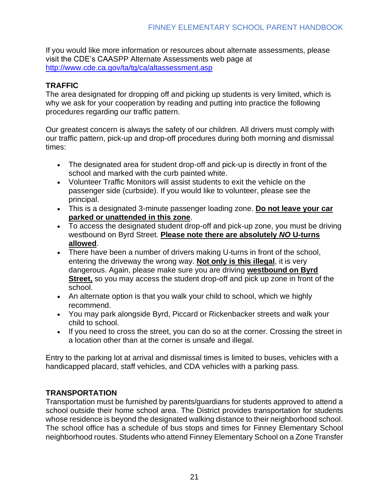If you would like more information or resources about alternate assessments, please visit the CDE's CAASPP Alternate Assessments web page at <http://www.cde.ca.gov/ta/tg/ca/altassessment.asp>

#### <span id="page-20-0"></span>**TRAFFIC**

The area designated for dropping off and picking up students is very limited, which is why we ask for your cooperation by reading and putting into practice the following procedures regarding our traffic pattern.

Our greatest concern is always the safety of our children. All drivers must comply with our traffic pattern, pick-up and drop-off procedures during both morning and dismissal times:

- The designated area for student drop-off and pick-up is directly in front of the school and marked with the curb painted white.
- Volunteer Traffic Monitors will assist students to exit the vehicle on the passenger side (curbside). If you would like to volunteer, please see the principal.
- This is a designated 3-minute passenger loading zone. **Do not leave your car parked or unattended in this zone**.
- To access the designated student drop-off and pick-up zone, you must be driving westbound on Byrd Street. **Please note there are absolutely** *NO* **U-turns allowed**.
- There have been a number of drivers making U-turns in front of the school, entering the driveway the wrong way. **Not only is this illegal**, it is very dangerous. Again, please make sure you are driving **westbound on Byrd Street,** so you may access the student drop-off and pick up zone in front of the school.
- An alternate option is that you walk your child to school, which we highly recommend.
- You may park alongside Byrd, Piccard or Rickenbacker streets and walk your child to school.
- If you need to cross the street, you can do so at the corner. Crossing the street in a location other than at the corner is unsafe and illegal.

Entry to the parking lot at arrival and dismissal times is limited to buses, vehicles with a handicapped placard, staff vehicles, and CDA vehicles with a parking pass.

## <span id="page-20-1"></span>**TRANSPORTATION**

Transportation must be furnished by parents/guardians for students approved to attend a school outside their home school area. The District provides transportation for students whose residence is beyond the designated walking distance to their neighborhood school. The school office has a schedule of bus stops and times for Finney Elementary School neighborhood routes. Students who attend Finney Elementary School on a Zone Transfer